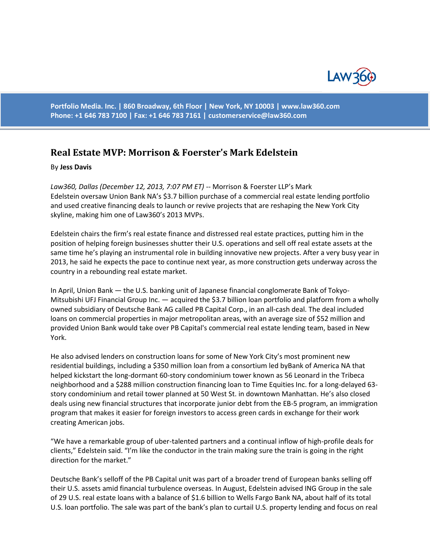

**Portfolio Media. Inc. | 860 Broadway, 6th Floor | New York, NY 10003 | www.law360.com Phone: +1 646 783 7100 | Fax: +1 646 783 7161 | [customerservice@law360.com](mailto:customerservice@law360.com)**

## **Real Estate MVP: Morrison & Foerster's Mark Edelstein**

## By **Jess Davis**

*Law360, Dallas (December 12, 2013, 7:07 PM ET)* -- Morrison & Foerster LLP's Mark Edelstein oversaw Union Bank NA's \$3.7 billion purchase of a commercial real estate lending portfolio and used creative financing deals to launch or revive projects that are reshaping the New York City skyline, making him one of Law360's 2013 MVPs.

Edelstein chairs the firm's real estate finance and distressed real estate practices, putting him in the position of helping foreign businesses shutter their U.S. operations and sell off real estate assets at the same time he's playing an instrumental role in building innovative new projects. After a very busy year in 2013, he said he expects the pace to continue next year, as more construction gets underway across the country in a rebounding real estate market.

In April, Union Bank — the U.S. banking unit of Japanese financial conglomerate Bank of Tokyo-Mitsubishi UFJ Financial Group Inc. — acquired the \$3.7 billion loan portfolio and platform from a wholly owned subsidiary of Deutsche Bank AG called PB Capital Corp., in an all-cash deal. The deal included loans on commercial properties in major metropolitan areas, with an average size of \$52 million and provided Union Bank would take over PB Capital's commercial real estate lending team, based in New York.

He also advised lenders on construction loans for some of New York City's most prominent new residential buildings, including a \$350 million loan from a consortium led byBank of America NA that helped kickstart the long-dormant 60-story condominium tower known as 56 Leonard in the Tribeca neighborhood and a \$288 million construction financing loan to Time Equities Inc. for a long-delayed 63 story condominium and retail tower planned at 50 West St. in downtown Manhattan. He's also closed deals using new financial structures that incorporate junior debt from the EB-5 program, an immigration program that makes it easier for foreign investors to access green cards in exchange for their work creating American jobs.

"We have a remarkable group of uber-talented partners and a continual inflow of high-profile deals for clients," Edelstein said. "I'm like the conductor in the train making sure the train is going in the right direction for the market."

Deutsche Bank's selloff of the PB Capital unit was part of a broader trend of European banks selling off their U.S. assets amid financial turbulence overseas. In August, Edelstein advised ING Group in the sale of 29 U.S. real estate loans with a balance of \$1.6 billion to Wells Fargo Bank NA, about half of its total U.S. loan portfolio. The sale was part of the bank's plan to curtail U.S. property lending and focus on real